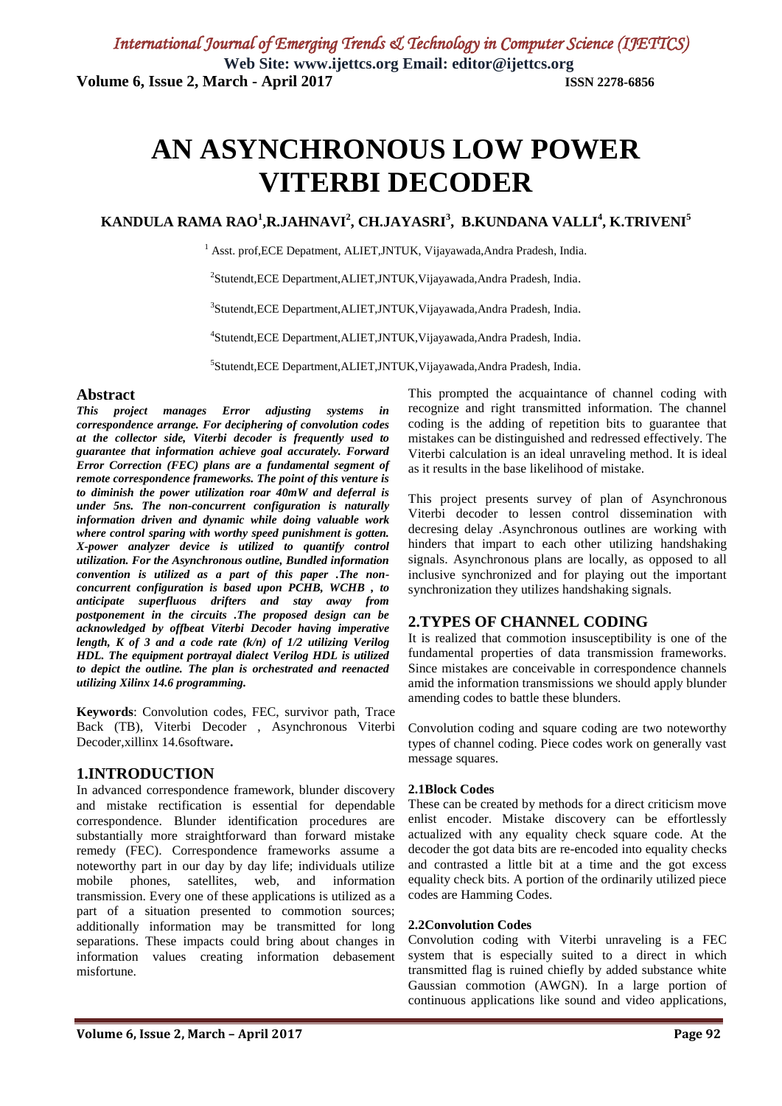# **AN ASYNCHRONOUS LOW POWER VITERBI DECODER**

## **KANDULA RAMA RAO<sup>1</sup> ,R.JAHNAVI<sup>2</sup> , CH.JAYASRI<sup>3</sup> , B.KUNDANA VALLI<sup>4</sup> , K.TRIVENI<sup>5</sup>**

<sup>1</sup> Asst. prof, ECE Depatment, ALIET, JNTUK, Vijayawada, Andra Pradesh, India.

2 Stutendt,ECE Department,ALIET,JNTUK,Vijayawada,Andra Pradesh, India.

3 Stutendt,ECE Department,ALIET,JNTUK,Vijayawada,Andra Pradesh, India.

4 Stutendt,ECE Department,ALIET,JNTUK,Vijayawada,Andra Pradesh, India.

5 Stutendt,ECE Department,ALIET,JNTUK,Vijayawada,Andra Pradesh, India.

#### **Abstract**

*This project manages Error adjusting systems in correspondence arrange. For deciphering of convolution codes at the collector side, Viterbi decoder is frequently used to guarantee that information achieve goal accurately. Forward Error Correction (FEC) plans are a fundamental segment of remote correspondence frameworks. The point of this venture is to diminish the power utilization roar 40mW and deferral is under 5ns. The non-concurrent configuration is naturally information driven and dynamic while doing valuable work where control sparing with worthy speed punishment is gotten. X-power analyzer device is utilized to quantify control utilization. For the Asynchronous outline, Bundled information convention is utilized as a part of this paper .The nonconcurrent configuration is based upon PCHB, WCHB , to anticipate superfluous drifters and stay away from postponement in the circuits .The proposed design can be acknowledged by offbeat Viterbi Decoder having imperative length, K of 3 and a code rate (k/n) of 1/2 utilizing Verilog HDL. The equipment portrayal dialect Verilog HDL is utilized to depict the outline. The plan is orchestrated and reenacted utilizing Xilinx 14.6 programming.*

**Keywords**: Convolution codes, FEC, survivor path, Trace Back (TB), Viterbi Decoder , Asynchronous Viterbi Decoder,xillinx 14.6software**.**

## **1.INTRODUCTION**

In advanced correspondence framework, blunder discovery and mistake rectification is essential for dependable correspondence. Blunder identification procedures are substantially more straightforward than forward mistake remedy (FEC). Correspondence frameworks assume a noteworthy part in our day by day life; individuals utilize mobile phones, satellites, web, and information transmission. Every one of these applications is utilized as a part of a situation presented to commotion sources; additionally information may be transmitted for long separations. These impacts could bring about changes in information values creating information debasement misfortune.

This prompted the acquaintance of channel coding with recognize and right transmitted information. The channel coding is the adding of repetition bits to guarantee that mistakes can be distinguished and redressed effectively. The Viterbi calculation is an ideal unraveling method. It is ideal as it results in the base likelihood of mistake.

This project presents survey of plan of Asynchronous Viterbi decoder to lessen control dissemination with decresing delay .Asynchronous outlines are working with hinders that impart to each other utilizing handshaking signals. Asynchronous plans are locally, as opposed to all inclusive synchronized and for playing out the important synchronization they utilizes handshaking signals.

## **2.TYPES OF CHANNEL CODING**

It is realized that commotion insusceptibility is one of the fundamental properties of data transmission frameworks. Since mistakes are conceivable in correspondence channels amid the information transmissions we should apply blunder amending codes to battle these blunders.

Convolution coding and square coding are two noteworthy types of channel coding. Piece codes work on generally vast message squares.

#### **2.1Block Codes**

These can be created by methods for a direct criticism move enlist encoder. Mistake discovery can be effortlessly actualized with any equality check square code. At the decoder the got data bits are re-encoded into equality checks and contrasted a little bit at a time and the got excess equality check bits. A portion of the ordinarily utilized piece codes are Hamming Codes.

#### **2.2Convolution Codes**

Convolution coding with Viterbi unraveling is a FEC system that is especially suited to a direct in which transmitted flag is ruined chiefly by added substance white Gaussian commotion (AWGN). In a large portion of continuous applications like sound and video applications,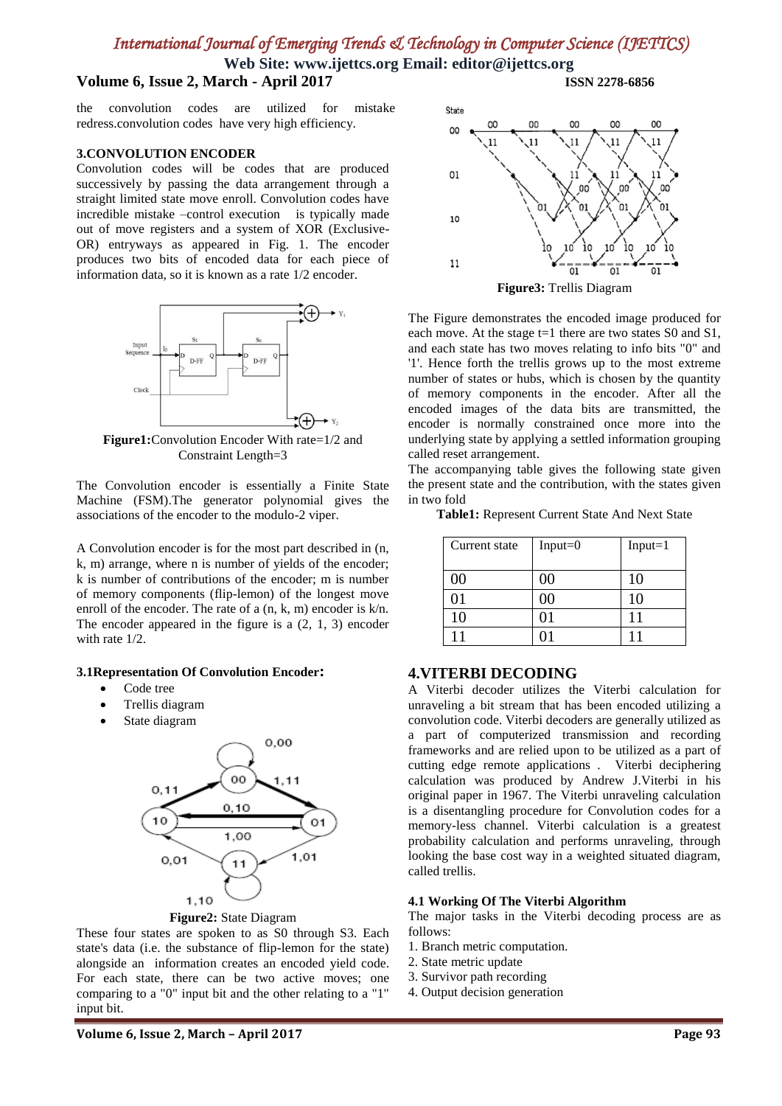**Web Site: www.ijettcs.org Email: editor@ijettcs.org Volume 6, Issue 2, March - April 2017 ISSN 2278-6856**

the convolution codes are utilized for mistake redress.convolution codes have very high efficiency.

#### **3.CONVOLUTION ENCODER**

Convolution codes will be codes that are produced successively by passing the data arrangement through a straight limited state move enroll. Convolution codes have incredible mistake –control execution is typically made out of move registers and a system of XOR (Exclusive-OR) entryways as appeared in Fig. 1. The encoder produces two bits of encoded data for each piece of information data, so it is known as a rate 1/2 encoder.



**Figure1:**Convolution Encoder With rate=1/2 and Constraint Length=3

The Convolution encoder is essentially a Finite State Machine (FSM).The generator polynomial gives the associations of the encoder to the modulo-2 viper.

A Convolution encoder is for the most part described in (n, k, m) arrange, where n is number of yields of the encoder; k is number of contributions of the encoder; m is number of memory components (flip-lemon) of the longest move enroll of the encoder. The rate of a  $(n, k, m)$  encoder is  $k/n$ . The encoder appeared in the figure is a (2, 1, 3) encoder with rate 1/2.

#### **3.1Representation Of Convolution Encoder:**

- Code tree
- Trellis diagram
- State diagram





These four states are spoken to as S0 through S3. Each state's data (i.e. the substance of flip-lemon for the state) alongside an information creates an encoded yield code. For each state, there can be two active moves; one comparing to a "0" input bit and the other relating to a "1" input bit.

State OO 0O Ō.  $00$ 01 10 11 ōī ōī  $\overline{01}$ **Figure3:** Trellis Diagram

The Figure demonstrates the encoded image produced for each move. At the stage t=1 there are two states S0 and S1, and each state has two moves relating to info bits "0" and '1'. Hence forth the trellis grows up to the most extreme number of states or hubs, which is chosen by the quantity of memory components in the encoder. After all the encoded images of the data bits are transmitted, the encoder is normally constrained once more into the underlying state by applying a settled information grouping called reset arrangement.

The accompanying table gives the following state given the present state and the contribution, with the states given in two fold

**Table1:** Represent Current State And Next State

| Current state | $Input = 0$   | $Input = 1$ |
|---------------|---------------|-------------|
| 00            | 00            | 10          |
| 01            | $\mathcal{X}$ | 10          |
| 10            |               | 11          |
|               |               | $1^{\circ}$ |

## **4.VITERBI DECODING**

A Viterbi decoder utilizes the Viterbi calculation for unraveling a bit stream that has been encoded utilizing a convolution code. Viterbi decoders are generally utilized as a part of computerized transmission and recording frameworks and are relied upon to be utilized as a part of cutting edge remote applications . Viterbi deciphering calculation was produced by Andrew J.Viterbi in his original paper in 1967. The Viterbi unraveling calculation is a disentangling procedure for Convolution codes for a memory-less channel. Viterbi calculation is a greatest probability calculation and performs unraveling, through looking the base cost way in a weighted situated diagram, called trellis.

#### **4.1 Working Of The Viterbi Algorithm**

The major tasks in the Viterbi decoding process are as follows:

- 1. Branch metric computation.
- 2. State metric update
- 3. Survivor path recording
- 4. Output decision generation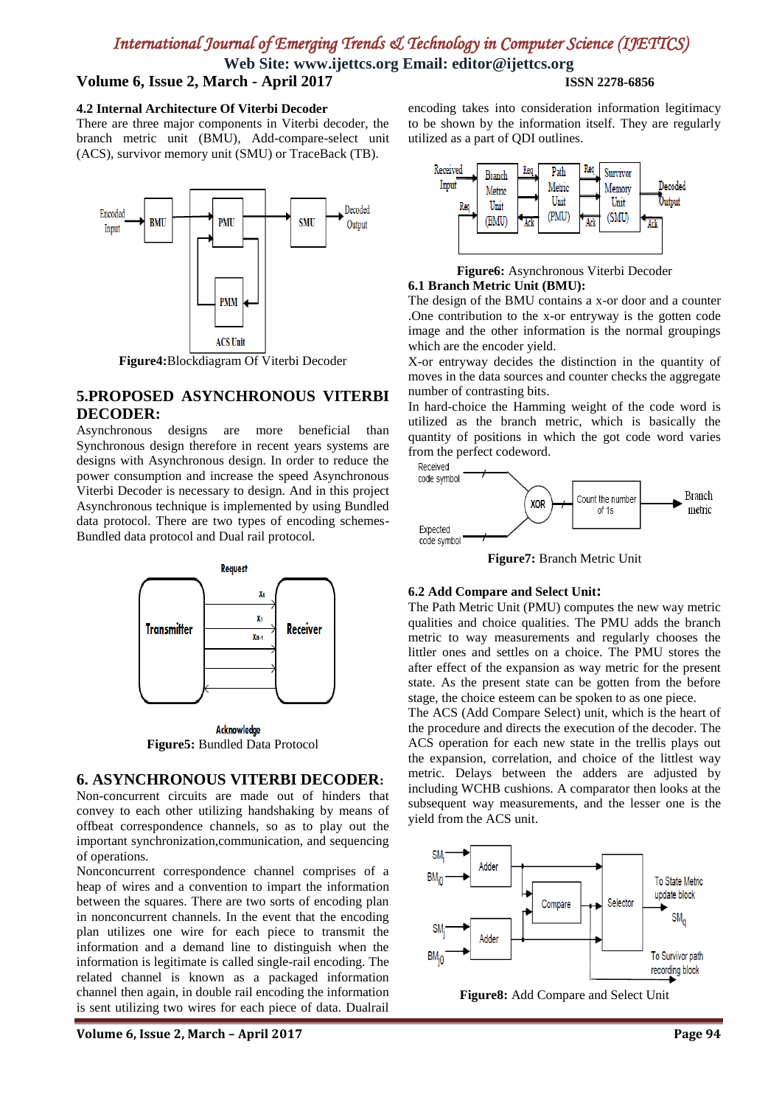**Web Site: www.ijettcs.org Email: editor@ijettcs.org**

## **Volume 6, Issue 2, March - April 2017 ISSN 2278-6856**

## **4.2 Internal Architecture Of Viterbi Decoder**

There are three major components in Viterbi decoder, the branch metric unit (BMU), Add-compare-select unit (ACS), survivor memory unit (SMU) or TraceBack (TB).



## **5.PROPOSED ASYNCHRONOUS VITERBI DECODER:**

Asynchronous designs are more beneficial than Synchronous design therefore in recent years systems are designs with Asynchronous design. In order to reduce the power consumption and increase the speed Asynchronous Viterbi Decoder is necessary to design. And in this project Asynchronous technique is implemented by using Bundled data protocol. There are two types of encoding schemes-Bundled data protocol and Dual rail protocol.



Acknowledge **Figure5:** Bundled Data Protocol

#### **6. ASYNCHRONOUS VITERBI DECODER:**

Non-concurrent circuits are made out of hinders that convey to each other utilizing handshaking by means of offbeat correspondence channels, so as to play out the important synchronization,communication, and sequencing of operations.

Nonconcurrent correspondence channel comprises of a heap of wires and a convention to impart the information between the squares. There are two sorts of encoding plan in nonconcurrent channels. In the event that the encoding plan utilizes one wire for each piece to transmit the information and a demand line to distinguish when the information is legitimate is called single-rail encoding. The related channel is known as a packaged information channel then again, in double rail encoding the information is sent utilizing two wires for each piece of data. Dualrail

**Volume 6, Issue 2, March – April 2017 Page 94**

encoding takes into consideration information legitimacy to be shown by the information itself. They are regularly utilized as a part of QDI outlines.



**Figure6:** Asynchronous Viterbi Decoder **6.1 Branch Metric Unit (BMU):**

The design of the BMU contains a x-or door and a counter .One contribution to the x-or entryway is the gotten code image and the other information is the normal groupings which are the encoder yield.

X-or entryway decides the distinction in the quantity of moves in the data sources and counter checks the aggregate number of contrasting bits.

In hard-choice the Hamming weight of the code word is utilized as the branch metric, which is basically the quantity of positions in which the got code word varies from the perfect codeword.<br>Received



**Figure7:** Branch Metric Unit

#### **6.2 Add Compare and Select Unit:**

The Path Metric Unit (PMU) computes the new way metric qualities and choice qualities. The PMU adds the branch metric to way measurements and regularly chooses the littler ones and settles on a choice. The PMU stores the after effect of the expansion as way metric for the present state. As the present state can be gotten from the before stage, the choice esteem can be spoken to as one piece.

The ACS (Add Compare Select) unit, which is the heart of the procedure and directs the execution of the decoder. The ACS operation for each new state in the trellis plays out the expansion, correlation, and choice of the littlest way metric. Delays between the adders are adjusted by including WCHB cushions. A comparator then looks at the subsequent way measurements, and the lesser one is the yield from the ACS unit.



**Figure8:** Add Compare and Select Unit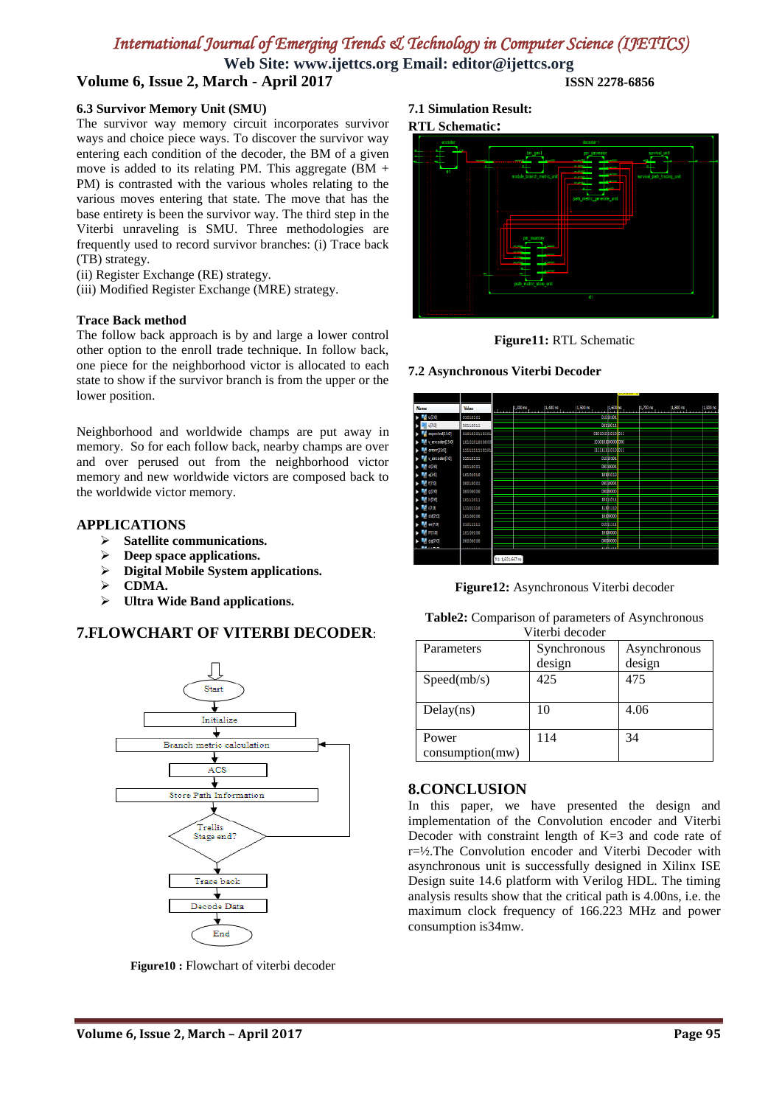**Web Site: www.ijettcs.org Email: editor@ijettcs.org Volume 6, Issue 2, March - April 2017 ISSN 2278-6856**

## **6.3 Survivor Memory Unit (SMU)**

The survivor way memory circuit incorporates survivor ways and choice piece ways. To discover the survivor way entering each condition of the decoder, the BM of a given move is added to its relating PM. This aggregate  $(BM +$ PM) is contrasted with the various wholes relating to the various moves entering that state. The move that has the base entirety is been the survivor way. The third step in the Viterbi unraveling is SMU. Three methodologies are frequently used to record survivor branches: (i) Trace back (TB) strategy.

- (ii) Register Exchange (RE) strategy.
- (iii) Modified Register Exchange (MRE) strategy.

#### **Trace Back method**

The follow back approach is by and large a lower control other option to the enroll trade technique. In follow back, one piece for the neighborhood victor is allocated to each state to show if the survivor branch is from the upper or the lower position.

Neighborhood and worldwide champs are put away in memory. So for each follow back, nearby champs are over and over perused out from the neighborhood victor memory and new worldwide victors are composed back to the worldwide victor memory.

## **APPLICATIONS**

- **Satellite communications.**
- **Deep space applications.**
- **Digital Mobile System applications.**
- **CDMA.**
- **Ultra Wide Band applications.**

## **7.FLOWCHART OF VITERBI DECODER**:



**Figure10 :** Flowchart of viterbi decoder

#### **7.1 Simulation Result:**

#### **RTL Schematic:**





**7.2 Asynchronous Viterbi Decoder**



**Figure12:** Asynchronous Viterbi decoder

**Table2:** Comparison of parameters of Asynchronous

| Viterbi decoder |             |              |  |
|-----------------|-------------|--------------|--|
| Parameters      | Synchronous | Asynchronous |  |
|                 | design      | design       |  |
| Speed(mb/s)     | 425         | 475          |  |
|                 |             |              |  |
| Delay(ns)       | 10          | 4.06         |  |
|                 |             |              |  |
| Power           | 114         | 34           |  |
| consumption(mw) |             |              |  |

## **8.CONCLUSION**

In this paper, we have presented the design and implementation of the Convolution encoder and Viterbi Decoder with constraint length of K=3 and code rate of r=½.The Convolution encoder and Viterbi Decoder with asynchronous unit is successfully designed in Xilinx ISE Design suite 14.6 platform with Verilog HDL. The timing analysis results show that the critical path is 4.00ns, i.e. the maximum clock frequency of 166.223 MHz and power consumption is34mw.